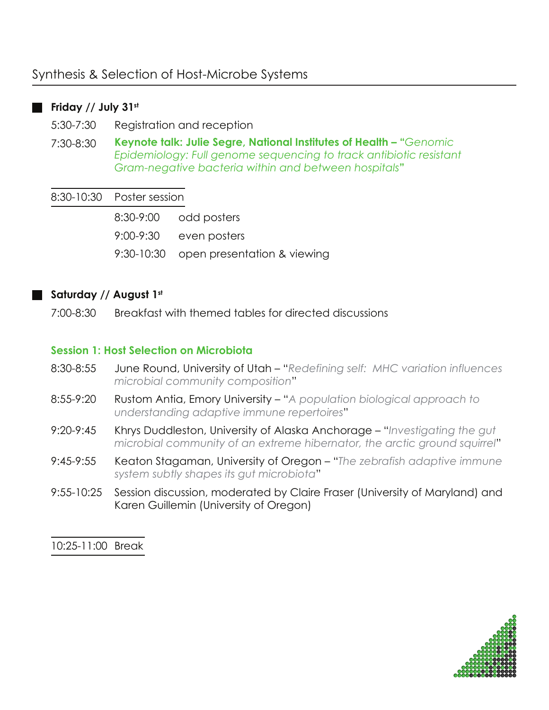# Synthesis & Selection of Host-Microbe Systems

## **Friday // July 31st**

5:30-7:30 Registration and reception

7:30-8:30 **Keynote talk: Julie Segre, National Institutes of Health – "***Genomic Epidemiology: Full genome sequencing to track antibiotic resistant Gram-negative bacteria within and between hospitals***"**

#### 8:30-10:30 Poster session

8:30-9:00 odd posters 9:00-9:30 even posters 9:30-10:30 open presentation & viewing

#### **Saturday // August 1st**

7:00-8:30 Breakfast with themed tables for directed discussions

## **Session 1: Host Selection on Microbiota**

- 8:30-8:55 June Round, University of Utah – "*Redefining self: MHC variation influences microbial community composition*"
- 8:55-9:20 Rustom Antia, Emory University – "*A population biological approach to understanding adaptive immune repertoires*"
- 9:20-9:45 Khrys Duddleston, University of Alaska Anchorage – "*Investigating the gut microbial community of an extreme hibernator, the arctic ground squirrel*"
- 9:45-9:55 Keaton Stagaman, University of Oregon – "*The zebrafish adaptive immune system subtly shapes its gut microbiota*"
- 9:55-10:25 Session discussion, moderated by Claire Fraser (University of Maryland) and Karen Guillemin (University of Oregon)

10:25-11:00 Break

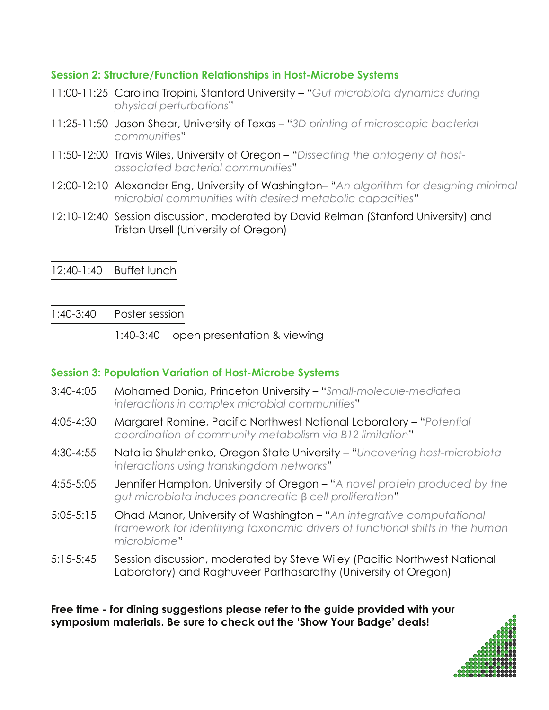## **Session 2: Structure/Function Relationships in Host-Microbe Systems**

- 11:00-11:25 Carolina Tropini, Stanford University "*Gut microbiota dynamics during physical perturbations*"
- 11:25-11:50 Jason Shear, University of Texas "*3D printing of microscopic bacterial communities*"
- 11:50-12:00 Travis Wiles, University of Oregon "*Dissecting the ontogeny of hostassociated bacterial communities*"
- 12:00-12:10 Alexander Eng, University of Washington– "*An algorithm for designing minimal microbial communities with desired metabolic capacities*"
- 12:10-12:40 Session discussion, moderated by David Relman (Stanford University) and Tristan Ursell (University of Oregon)

12:40-1:40 Buffet lunch

1:40-3:40 Poster session

1:40-3:40 open presentation & viewing

## **Session 3: Population Variation of Host-Microbe Systems**

- 3:40-4:05 Mohamed Donia, Princeton University "*Small-molecule-mediated interactions in complex microbial communities*"
- 4:05-4:30 Margaret Romine, Pacific Northwest National Laboratory "*Potential coordination of community metabolism via B12 limitation*"
- 4:30-4:55 Natalia Shulzhenko, Oregon State University "*Uncovering host-microbiota interactions using transkingdom networks*"
- 4:55-5:05 Jennifer Hampton, University of Oregon "*A novel protein produced by the gut microbiota induces pancreatic* β *cell proliferation*"
- 5:05-5:15 Ohad Manor, University of Washington "*An integrative computational framework for identifying taxonomic drivers of functional shifts in the human microbiome*"
- 5:15-5:45 Session discussion, moderated by Steve Wiley (Pacific Northwest National Laboratory) and Raghuveer Parthasarathy (University of Oregon)

**Free time - for dining suggestions please refer to the guide provided with your symposium materials. Be sure to check out the 'Show Your Badge' deals!** 

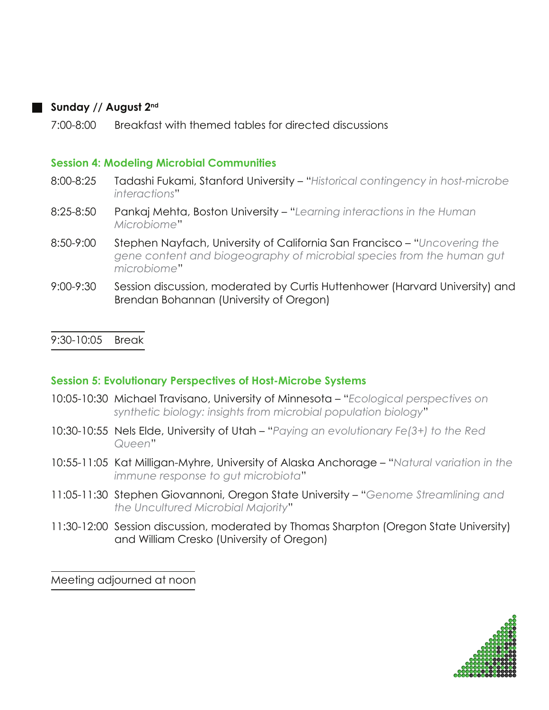## **Sunday // August 2nd**

7:00-8:00 Breakfast with themed tables for directed discussions

### **Session 4: Modeling Microbial Communities**

- 8:00-8:25 Tadashi Fukami, Stanford University "*Historical contingency in host-microbe interactions*"
- 8:25-8:50 Pankaj Mehta, Boston University "*Learning interactions in the Human Microbiome*"
- 8:50-9:00 Stephen Nayfach, University of California San Francisco "*Uncovering the gene content and biogeography of microbial species from the human gut microbiome*"
- 9:00-9:30 Session discussion, moderated by Curtis Huttenhower (Harvard University) and Brendan Bohannan (University of Oregon)

## 9:30-10:05 Break

#### **Session 5: Evolutionary Perspectives of Host-Microbe Systems**

- 10:05-10:30 Michael Travisano, University of Minnesota "*Ecological perspectives on synthetic biology: insights from microbial population biology*"
- 10:30-10:55 Nels Elde, University of Utah "*Paying an evolutionary Fe(3+) to the Red Queen*"
- 10:55-11:05 Kat Milligan-Myhre, University of Alaska Anchorage "*Natural variation in the immune response to gut microbiota*"
- 11:05-11:30 Stephen Giovannoni, Oregon State University "*Genome Streamlining and the Uncultured Microbial Majority*"
- 11:30-12:00 Session discussion, moderated by Thomas Sharpton (Oregon State University) and William Cresko (University of Oregon)

Meeting adjourned at noon